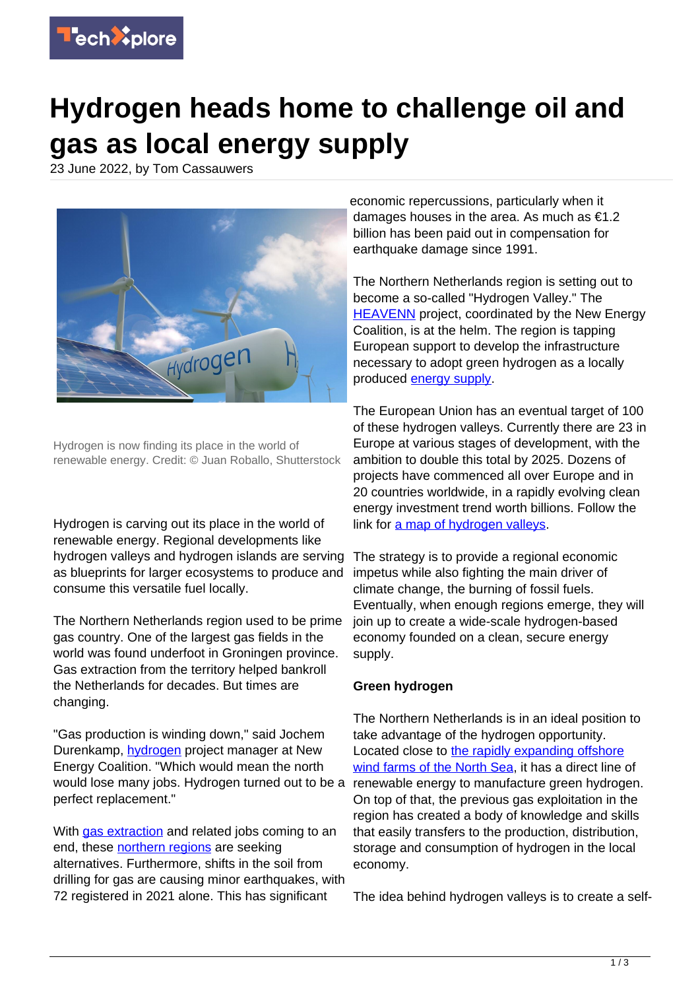

# **Hydrogen heads home to challenge oil and gas as local energy supply**

23 June 2022, by Tom Cassauwers



Hydrogen is now finding its place in the world of renewable energy. Credit: © Juan Roballo, Shutterstock

Hydrogen is carving out its place in the world of renewable energy. Regional developments like hydrogen valleys and hydrogen islands are serving as blueprints for larger ecosystems to produce and consume this versatile fuel locally.

The Northern Netherlands region used to be prime gas country. One of the largest gas fields in the world was found underfoot in Groningen province. Gas extraction from the territory helped bankroll the Netherlands for decades. But times are changing.

"Gas production is winding down," said Jochem Durenkamp, [hydrogen](https://techxplore.com/tags/hydrogen/) project manager at New Energy Coalition. "Which would mean the north would lose many jobs. Hydrogen turned out to be a perfect replacement."

With [gas extraction](https://techxplore.com/tags/gas+extraction/) and related jobs coming to an end, these [northern regions](https://techxplore.com/tags/northern+regions/) are seeking alternatives. Furthermore, shifts in the soil from drilling for gas are causing minor earthquakes, with 72 registered in 2021 alone. This has significant

economic repercussions, particularly when it damages houses in the area. As much as €1.2 billion has been paid out in compensation for earthquake damage since 1991.

The Northern Netherlands region is setting out to become a so-called "Hydrogen Valley." The **HEAVENN** project, coordinated by the New Energy Coalition, is at the helm. The region is tapping European support to develop the infrastructure necessary to adopt green hydrogen as a locally produced [energy supply.](https://techxplore.com/tags/energy+supply/)

The European Union has an eventual target of 100 of these hydrogen valleys. Currently there are 23 in Europe at various stages of development, with the ambition to double this total by 2025. Dozens of projects have commenced all over Europe and in 20 countries worldwide, in a rapidly evolving clean energy investment trend worth billions. Follow the link for [a map of hydrogen valleys](https://www.h2v.eu/hydrogen-valleys).

The strategy is to provide a regional economic impetus while also fighting the main driver of climate change, the burning of fossil fuels. Eventually, when enough regions emerge, they will join up to create a wide-scale hydrogen-based economy founded on a clean, secure energy supply.

## **Green hydrogen**

The Northern Netherlands is in an ideal position to take advantage of the hydrogen opportunity. Located close to [the rapidly expanding offshore](https://www.euractiv.com/section/energy/news/germany-denmark-netherlands-and-belgium-sign-e135-billion-offshore-wind-pact/) [wind farms of the North Sea,](https://www.euractiv.com/section/energy/news/germany-denmark-netherlands-and-belgium-sign-e135-billion-offshore-wind-pact/) it has a direct line of renewable energy to manufacture green hydrogen. On top of that, the previous gas exploitation in the region has created a body of knowledge and skills that easily transfers to the production, distribution, storage and consumption of hydrogen in the local economy.

The idea behind hydrogen valleys is to create a self-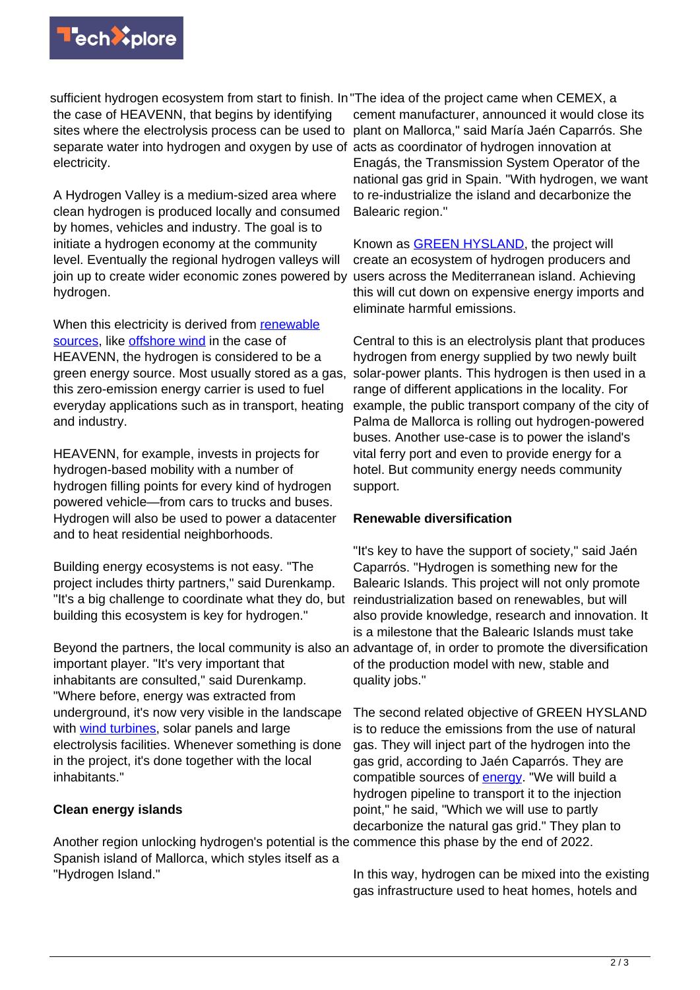

sufficient hydrogen ecosystem from start to finish. In "The idea of the project came when CEMEX, a the case of HEAVENN, that begins by identifying sites where the electrolysis process can be used to plant on Mallorca," said María Jaén Caparrós. She separate water into hydrogen and oxygen by use of acts as coordinator of hydrogen innovation at electricity.

A Hydrogen Valley is a medium-sized area where clean hydrogen is produced locally and consumed by homes, vehicles and industry. The goal is to initiate a hydrogen economy at the community level. Eventually the regional hydrogen valleys will join up to create wider economic zones powered by hydrogen.

When this electricity is derived from [renewable](https://techxplore.com/tags/renewable+sources/) [sources,](https://techxplore.com/tags/renewable+sources/) like [offshore wind](https://techxplore.com/tags/offshore+wind/) in the case of HEAVENN, the hydrogen is considered to be a green energy source. Most usually stored as a gas, this zero-emission energy carrier is used to fuel everyday applications such as in transport, heating and industry.

HEAVENN, for example, invests in projects for hydrogen-based mobility with a number of hydrogen filling points for every kind of hydrogen powered vehicle—from cars to trucks and buses. Hydrogen will also be used to power a datacenter and to heat residential neighborhoods.

Building energy ecosystems is not easy. "The project includes thirty partners," said Durenkamp. "It's a big challenge to coordinate what they do, but building this ecosystem is key for hydrogen."

Beyond the partners, the local community is also an advantage of, in order to promote the diversification important player. "It's very important that inhabitants are consulted," said Durenkamp. "Where before, energy was extracted from underground, it's now very visible in the landscape with [wind turbines,](https://techxplore.com/tags/wind+turbines/) solar panels and large electrolysis facilities. Whenever something is done in the project, it's done together with the local inhabitants."

## **Clean energy islands**

Another region unlocking hydrogen's potential is the commence this phase by the end of 2022. Spanish island of Mallorca, which styles itself as a "Hydrogen Island."

cement manufacturer, announced it would close its Enagás, the Transmission System Operator of the national gas grid in Spain. "With hydrogen, we want to re-industrialize the island and decarbonize the Balearic region."

Known as [GREEN HYSLAND,](https://cordis.europa.eu/project/id/101007201) the project will create an ecosystem of hydrogen producers and users across the Mediterranean island. Achieving this will cut down on expensive energy imports and eliminate harmful emissions.

Central to this is an electrolysis plant that produces hydrogen from energy supplied by two newly built solar-power plants. This hydrogen is then used in a range of different applications in the locality. For example, the public transport company of the city of Palma de Mallorca is rolling out hydrogen-powered buses. Another use-case is to power the island's vital ferry port and even to provide energy for a hotel. But community energy needs community support.

## **Renewable diversification**

"It's key to have the support of society," said Jaén Caparrós. "Hydrogen is something new for the Balearic Islands. This project will not only promote reindustrialization based on renewables, but will also provide knowledge, research and innovation. It is a milestone that the Balearic Islands must take of the production model with new, stable and quality jobs."

The second related objective of GREEN HYSLAND is to reduce the emissions from the use of natural gas. They will inject part of the hydrogen into the gas grid, according to Jaén Caparrós. They are compatible sources of **[energy](https://techxplore.com/tags/energy/)**. "We will build a hydrogen pipeline to transport it to the injection point," he said, "Which we will use to partly decarbonize the natural gas grid." They plan to

In this way, hydrogen can be mixed into the existing gas infrastructure used to heat homes, hotels and